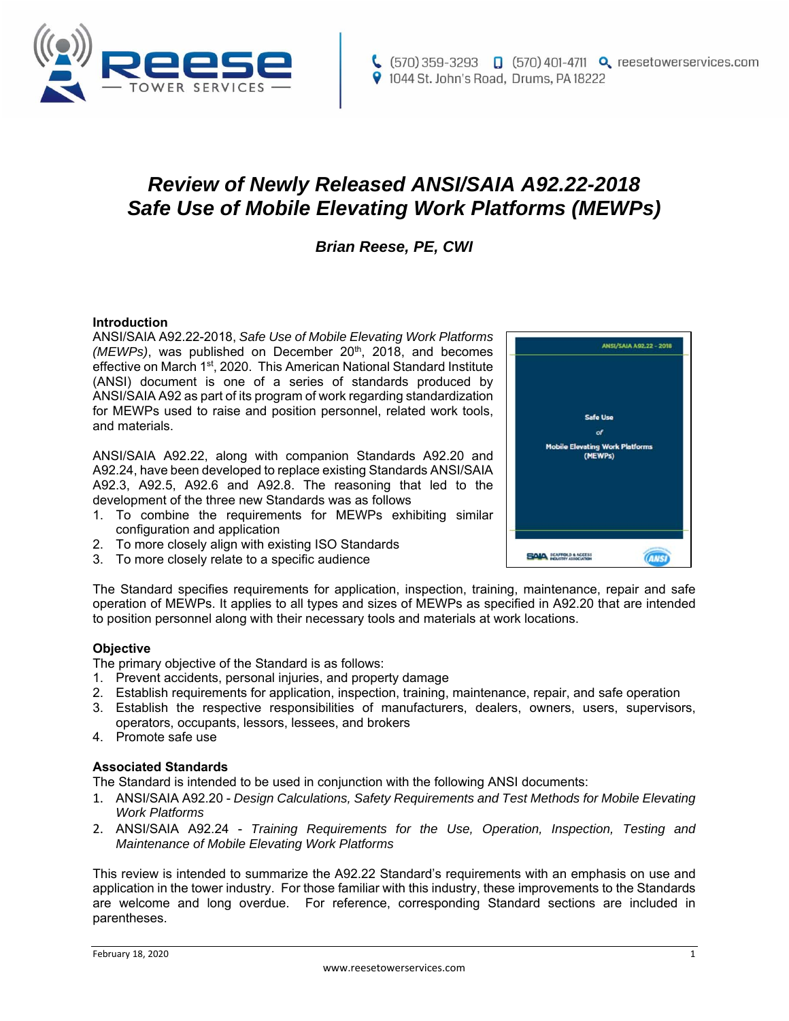

# *Review of Newly Released ANSI/SAIA A92.22-2018 Safe Use of Mobile Elevating Work Platforms (MEWPs)*

# *Brian Reese, PE, CWI*

#### **Introduction**

ANSI/SAIA A92.22-2018, *Safe Use of Mobile Elevating Work Platforms (MEWPs)*, was published on December 20<sup>th</sup>, 2018, and becomes effective on March 1<sup>st</sup>, 2020. This American National Standard Institute (ANSI) document is one of a series of standards produced by ANSI/SAIA A92 as part of its program of work regarding standardization for MEWPs used to raise and position personnel, related work tools, and materials.

ANSI/SAIA A92.22, along with companion Standards A92.20 and A92.24, have been developed to replace existing Standards ANSI/SAIA A92.3, A92.5, A92.6 and A92.8. The reasoning that led to the development of the three new Standards was as follows

- 1. To combine the requirements for MEWPs exhibiting similar configuration and application
- 2. To more closely align with existing ISO Standards
- 3. To more closely relate to a specific audience

The Standard specifies requirements for application, inspection, training, maintenance, repair and safe operation of MEWPs. It applies to all types and sizes of MEWPs as specified in A92.20 that are intended to position personnel along with their necessary tools and materials at work locations.

#### **Objective**

The primary objective of the Standard is as follows:

- 1. Prevent accidents, personal injuries, and property damage
- 2. Establish requirements for application, inspection, training, maintenance, repair, and safe operation
- 3. Establish the respective responsibilities of manufacturers, dealers, owners, users, supervisors, operators, occupants, lessors, lessees, and brokers
- 4. Promote safe use

#### **Associated Standards**

The Standard is intended to be used in conjunction with the following ANSI documents:

- 1. ANSI/SAIA A92.20 *Design Calculations, Safety Requirements and Test Methods for Mobile Elevating Work Platforms*
- 2. ANSI/SAIA A92.24 *Training Requirements for the Use, Operation, Inspection, Testing and Maintenance of Mobile Elevating Work Platforms*

This review is intended to summarize the A92.22 Standard's requirements with an emphasis on use and application in the tower industry. For those familiar with this industry, these improvements to the Standards are welcome and long overdue. For reference, corresponding Standard sections are included in parentheses.

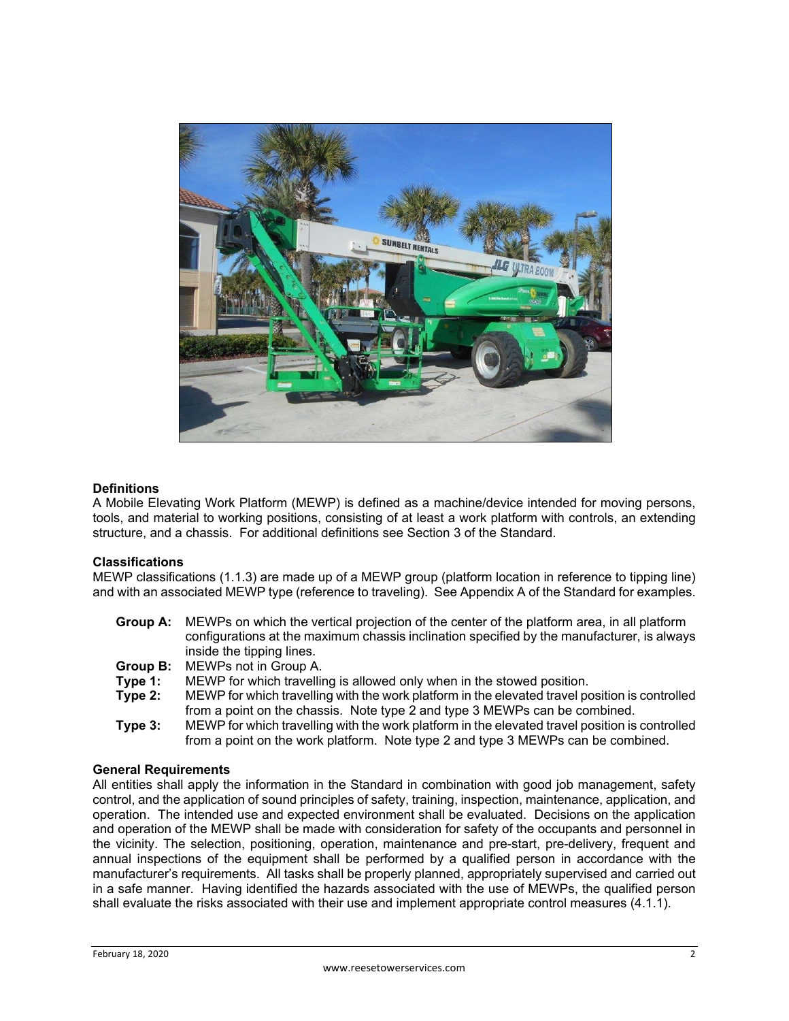

# **Definitions**

A Mobile Elevating Work Platform (MEWP) is defined as a machine/device intended for moving persons, tools, and material to working positions, consisting of at least a work platform with controls, an extending structure, and a chassis. For additional definitions see Section 3 of the Standard.

#### **Classifications**

MEWP classifications (1.1.3) are made up of a MEWP group (platform location in reference to tipping line) and with an associated MEWP type (reference to traveling). See Appendix A of the Standard for examples.

- **Group A:** MEWPs on which the vertical projection of the center of the platform area, in all platform configurations at the maximum chassis inclination specified by the manufacturer, is always inside the tipping lines.
- **Group B:** MEWPs not in Group A.
- **Type 1:** MEWP for which travelling is allowed only when in the stowed position.
- **Type 2:** MEWP for which travelling with the work platform in the elevated travel position is controlled from a point on the chassis. Note type 2 and type 3 MEWPs can be combined.
- **Type 3:** MEWP for which travelling with the work platform in the elevated travel position is controlled from a point on the work platform. Note type 2 and type 3 MEWPs can be combined.

#### **General Requirements**

All entities shall apply the information in the Standard in combination with good job management, safety control, and the application of sound principles of safety, training, inspection, maintenance, application, and operation. The intended use and expected environment shall be evaluated. Decisions on the application and operation of the MEWP shall be made with consideration for safety of the occupants and personnel in the vicinity. The selection, positioning, operation, maintenance and pre-start, pre-delivery, frequent and annual inspections of the equipment shall be performed by a qualified person in accordance with the manufacturer's requirements. All tasks shall be properly planned, appropriately supervised and carried out in a safe manner. Having identified the hazards associated with the use of MEWPs, the qualified person shall evaluate the risks associated with their use and implement appropriate control measures (4.1.1).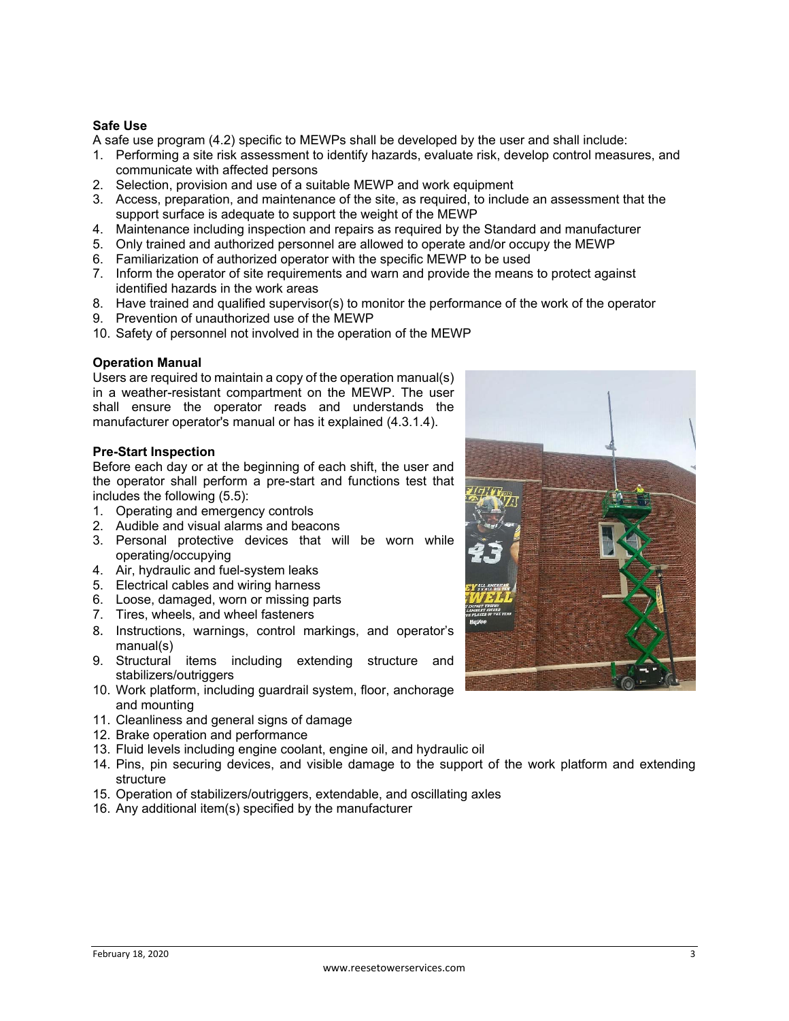# **Safe Use**

A safe use program (4.2) specific to MEWPs shall be developed by the user and shall include:

- 1. Performing a site risk assessment to identify hazards, evaluate risk, develop control measures, and communicate with affected persons
- 2. Selection, provision and use of a suitable MEWP and work equipment
- 3. Access, preparation, and maintenance of the site, as required, to include an assessment that the support surface is adequate to support the weight of the MEWP
- 4. Maintenance including inspection and repairs as required by the Standard and manufacturer
- 5. Only trained and authorized personnel are allowed to operate and/or occupy the MEWP
- 6. Familiarization of authorized operator with the specific MEWP to be used
- 7. Inform the operator of site requirements and warn and provide the means to protect against identified hazards in the work areas
- 8. Have trained and qualified supervisor(s) to monitor the performance of the work of the operator
- 9. Prevention of unauthorized use of the MEWP
- 10. Safety of personnel not involved in the operation of the MEWP

#### **Operation Manual**

Users are required to maintain a copy of the operation manual(s) in a weather-resistant compartment on the MEWP. The user shall ensure the operator reads and understands the manufacturer operator's manual or has it explained (4.3.1.4).

#### **Pre-Start Inspection**

Before each day or at the beginning of each shift, the user and the operator shall perform a pre-start and functions test that includes the following (5.5):

- 1. Operating and emergency controls
- 2. Audible and visual alarms and beacons
- 3. Personal protective devices that will be worn while operating/occupying
- 4. Air, hydraulic and fuel-system leaks
- 5. Electrical cables and wiring harness
- 6. Loose, damaged, worn or missing parts
- 7. Tires, wheels, and wheel fasteners
- 8. Instructions, warnings, control markings, and operator's manual(s)
- 9. Structural items including extending structure and stabilizers/outriggers
- 10. Work platform, including guardrail system, floor, anchorage and mounting
- 11. Cleanliness and general signs of damage
- 12. Brake operation and performance
- 13. Fluid levels including engine coolant, engine oil, and hydraulic oil
- 14. Pins, pin securing devices, and visible damage to the support of the work platform and extending structure
- 15. Operation of stabilizers/outriggers, extendable, and oscillating axles
- 16. Any additional item(s) specified by the manufacturer

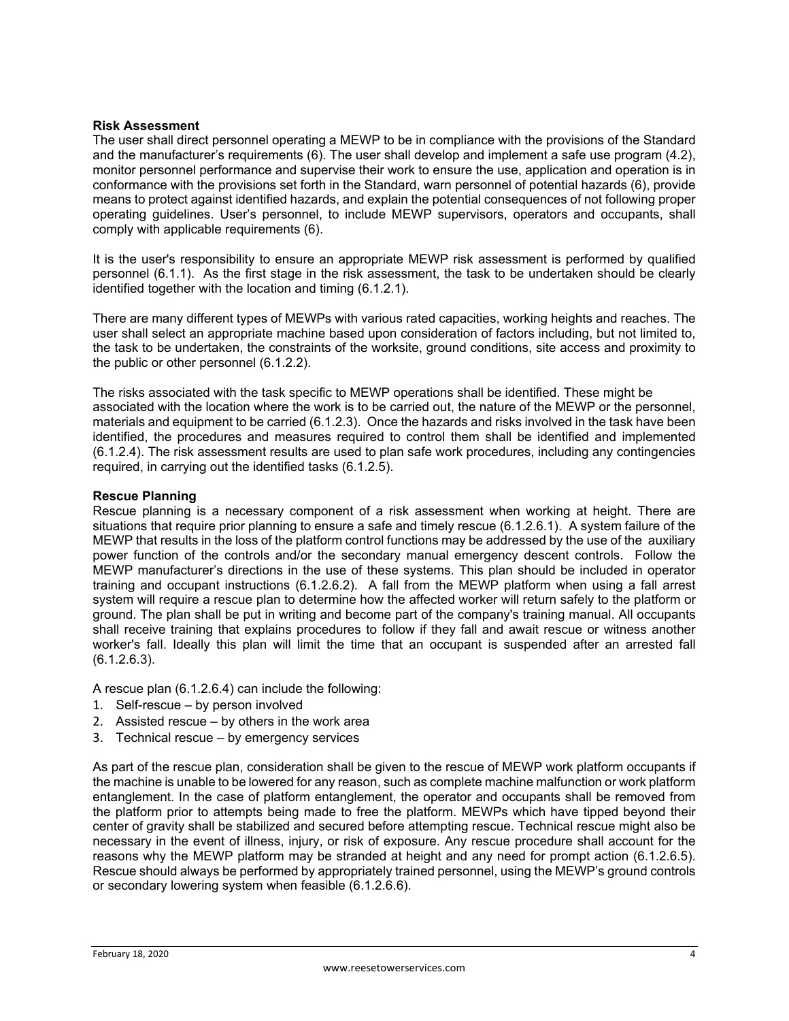#### **Risk Assessment**

The user shall direct personnel operating a MEWP to be in compliance with the provisions of the Standard and the manufacturer's requirements (6). The user shall develop and implement a safe use program (4.2), monitor personnel performance and supervise their work to ensure the use, application and operation is in conformance with the provisions set forth in the Standard, warn personnel of potential hazards (6), provide means to protect against identified hazards, and explain the potential consequences of not following proper operating guidelines. User's personnel, to include MEWP supervisors, operators and occupants, shall comply with applicable requirements (6).

It is the user's responsibility to ensure an appropriate MEWP risk assessment is performed by qualified personnel (6.1.1). As the first stage in the risk assessment, the task to be undertaken should be clearly identified together with the location and timing (6.1.2.1).

There are many different types of MEWPs with various rated capacities, working heights and reaches. The user shall select an appropriate machine based upon consideration of factors including, but not limited to, the task to be undertaken, the constraints of the worksite, ground conditions, site access and proximity to the public or other personnel (6.1.2.2).

The risks associated with the task specific to MEWP operations shall be identified. These might be associated with the location where the work is to be carried out, the nature of the MEWP or the personnel, materials and equipment to be carried (6.1.2.3). Once the hazards and risks involved in the task have been identified, the procedures and measures required to control them shall be identified and implemented (6.1.2.4). The risk assessment results are used to plan safe work procedures, including any contingencies required, in carrying out the identified tasks (6.1.2.5).

#### **Rescue Planning**

Rescue planning is a necessary component of a risk assessment when working at height. There are situations that require prior planning to ensure a safe and timely rescue (6.1.2.6.1). A system failure of the MEWP that results in the loss of the platform control functions may be addressed by the use of the auxiliary power function of the controls and/or the secondary manual emergency descent controls. Follow the MEWP manufacturer's directions in the use of these systems. This plan should be included in operator training and occupant instructions (6.1.2.6.2). A fall from the MEWP platform when using a fall arrest system will require a rescue plan to determine how the affected worker will return safely to the platform or ground. The plan shall be put in writing and become part of the company's training manual. All occupants shall receive training that explains procedures to follow if they fall and await rescue or witness another worker's fall. Ideally this plan will limit the time that an occupant is suspended after an arrested fall (6.1.2.6.3).

A rescue plan (6.1.2.6.4) can include the following:

- 1. Self-rescue by person involved
- 2. Assisted rescue by others in the work area
- 3. Technical rescue by emergency services

As part of the rescue plan, consideration shall be given to the rescue of MEWP work platform occupants if the machine is unable to be lowered for any reason, such as complete machine malfunction or work platform entanglement. In the case of platform entanglement, the operator and occupants shall be removed from the platform prior to attempts being made to free the platform. MEWPs which have tipped beyond their center of gravity shall be stabilized and secured before attempting rescue. Technical rescue might also be necessary in the event of illness, injury, or risk of exposure. Any rescue procedure shall account for the reasons why the MEWP platform may be stranded at height and any need for prompt action (6.1.2.6.5). Rescue should always be performed by appropriately trained personnel, using the MEWP's ground controls or secondary lowering system when feasible (6.1.2.6.6).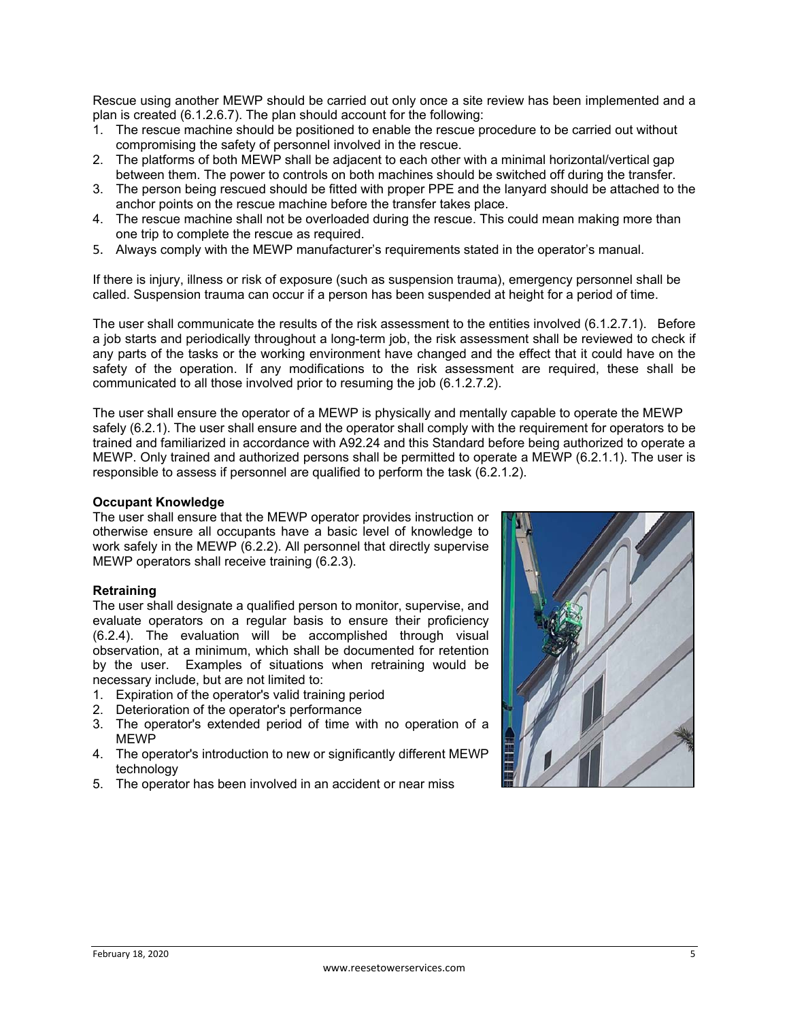Rescue using another MEWP should be carried out only once a site review has been implemented and a plan is created (6.1.2.6.7). The plan should account for the following:

- 1. The rescue machine should be positioned to enable the rescue procedure to be carried out without compromising the safety of personnel involved in the rescue.
- 2. The platforms of both MEWP shall be adjacent to each other with a minimal horizontal/vertical gap between them. The power to controls on both machines should be switched off during the transfer.
- 3. The person being rescued should be fitted with proper PPE and the lanyard should be attached to the anchor points on the rescue machine before the transfer takes place.
- 4. The rescue machine shall not be overloaded during the rescue. This could mean making more than one trip to complete the rescue as required.
- 5. Always comply with the MEWP manufacturer's requirements stated in the operator's manual.

If there is injury, illness or risk of exposure (such as suspension trauma), emergency personnel shall be called. Suspension trauma can occur if a person has been suspended at height for a period of time.

The user shall communicate the results of the risk assessment to the entities involved (6.1.2.7.1). Before a job starts and periodically throughout a long-term job, the risk assessment shall be reviewed to check if any parts of the tasks or the working environment have changed and the effect that it could have on the safety of the operation. If any modifications to the risk assessment are required, these shall be communicated to all those involved prior to resuming the job (6.1.2.7.2).

The user shall ensure the operator of a MEWP is physically and mentally capable to operate the MEWP safely (6.2.1). The user shall ensure and the operator shall comply with the requirement for operators to be trained and familiarized in accordance with A92.24 and this Standard before being authorized to operate a MEWP. Only trained and authorized persons shall be permitted to operate a MEWP (6.2.1.1). The user is responsible to assess if personnel are qualified to perform the task (6.2.1.2).

#### **Occupant Knowledge**

The user shall ensure that the MEWP operator provides instruction or otherwise ensure all occupants have a basic level of knowledge to work safely in the MEWP (6.2.2). All personnel that directly supervise MEWP operators shall receive training (6.2.3).

#### **Retraining**

The user shall designate a qualified person to monitor, supervise, and evaluate operators on a regular basis to ensure their proficiency (6.2.4). The evaluation will be accomplished through visual observation, at a minimum, which shall be documented for retention by the user. Examples of situations when retraining would be necessary include, but are not limited to:

- 1. Expiration of the operator's valid training period
- 2. Deterioration of the operator's performance
- 3. The operator's extended period of time with no operation of a MEWP
- 4. The operator's introduction to new or significantly different MEWP technology
- 5. The operator has been involved in an accident or near miss

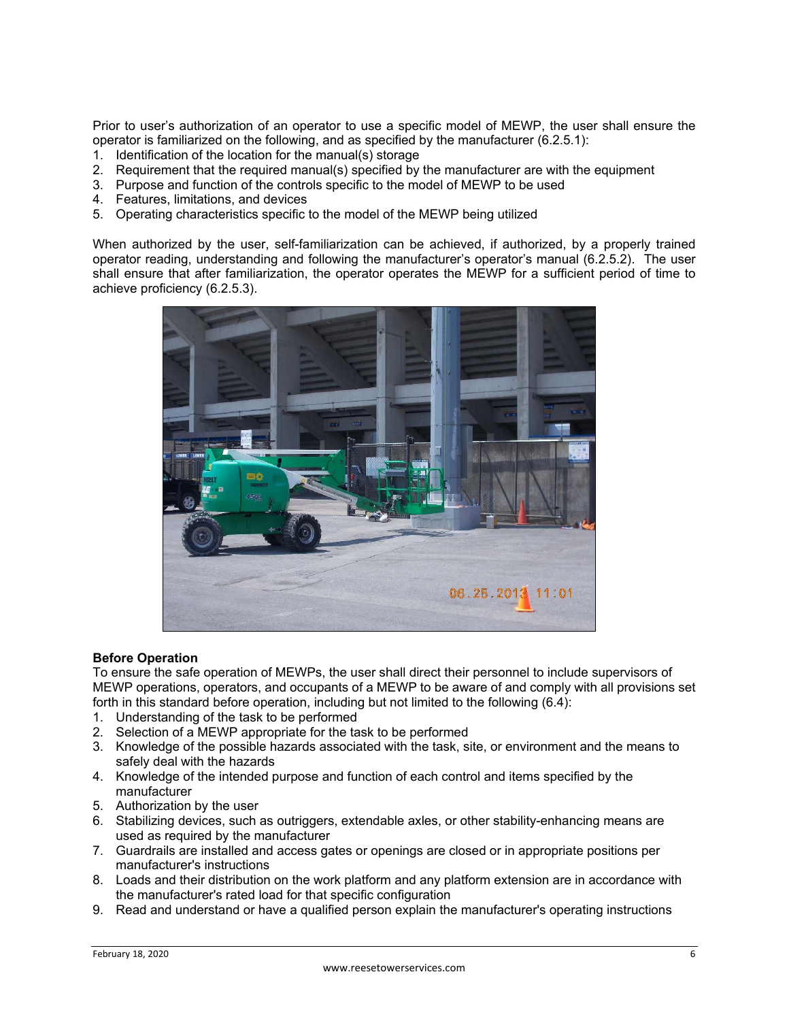Prior to user's authorization of an operator to use a specific model of MEWP, the user shall ensure the operator is familiarized on the following, and as specified by the manufacturer (6.2.5.1):

- 1. Identification of the location for the manual(s) storage
- 2. Requirement that the required manual(s) specified by the manufacturer are with the equipment
- 3. Purpose and function of the controls specific to the model of MEWP to be used
- 4. Features, limitations, and devices
- 5. Operating characteristics specific to the model of the MEWP being utilized

When authorized by the user, self-familiarization can be achieved, if authorized, by a properly trained operator reading, understanding and following the manufacturer's operator's manual (6.2.5.2). The user shall ensure that after familiarization, the operator operates the MEWP for a sufficient period of time to achieve proficiency (6.2.5.3).



#### **Before Operation**

To ensure the safe operation of MEWPs, the user shall direct their personnel to include supervisors of MEWP operations, operators, and occupants of a MEWP to be aware of and comply with all provisions set forth in this standard before operation, including but not limited to the following (6.4):

- 1. Understanding of the task to be performed
- 2. Selection of a MEWP appropriate for the task to be performed
- 3. Knowledge of the possible hazards associated with the task, site, or environment and the means to safely deal with the hazards
- 4. Knowledge of the intended purpose and function of each control and items specified by the manufacturer
- 5. Authorization by the user
- 6. Stabilizing devices, such as outriggers, extendable axles, or other stability-enhancing means are used as required by the manufacturer
- 7. Guardrails are installed and access gates or openings are closed or in appropriate positions per manufacturer's instructions
- 8. Loads and their distribution on the work platform and any platform extension are in accordance with the manufacturer's rated load for that specific configuration
- 9. Read and understand or have a qualified person explain the manufacturer's operating instructions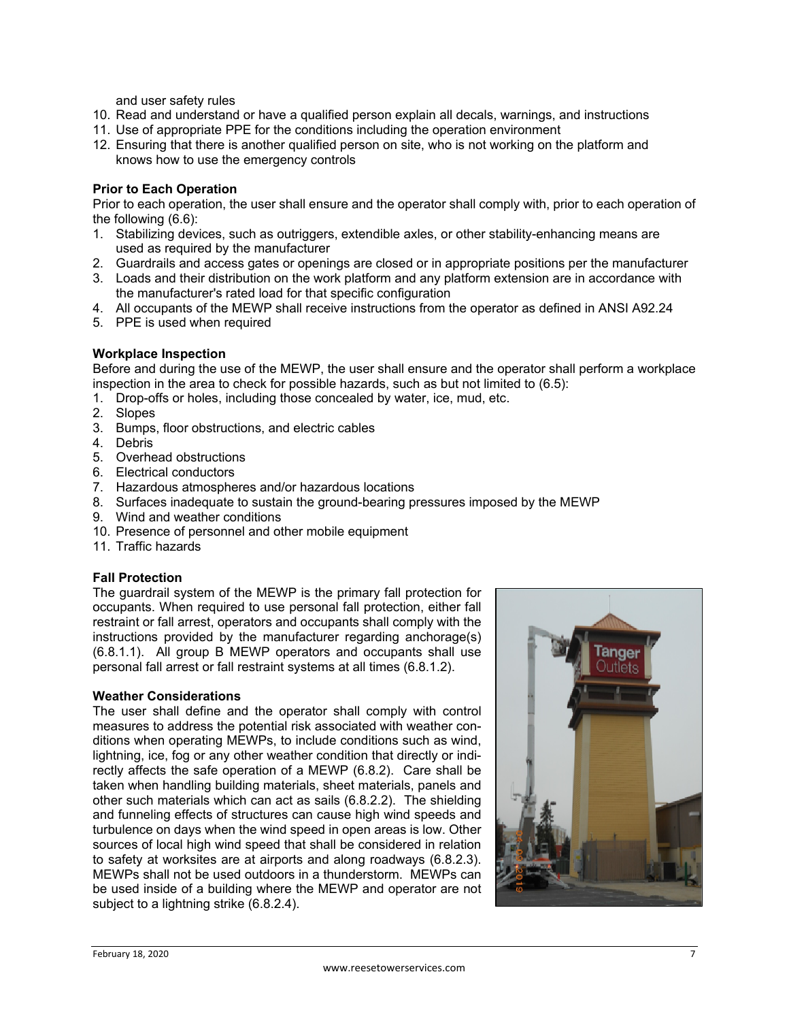and user safety rules

- 10. Read and understand or have a qualified person explain all decals, warnings, and instructions
- 11. Use of appropriate PPE for the conditions including the operation environment
- 12. Ensuring that there is another qualified person on site, who is not working on the platform and knows how to use the emergency controls

#### **Prior to Each Operation**

Prior to each operation, the user shall ensure and the operator shall comply with, prior to each operation of the following (6.6):

- 1. Stabilizing devices, such as outriggers, extendible axles, or other stability-enhancing means are used as required by the manufacturer
- 2. Guardrails and access gates or openings are closed or in appropriate positions per the manufacturer
- 3. Loads and their distribution on the work platform and any platform extension are in accordance with the manufacturer's rated load for that specific configuration
- 4. All occupants of the MEWP shall receive instructions from the operator as defined in ANSI A92.24
- 5. PPE is used when required

#### **Workplace Inspection**

Before and during the use of the MEWP, the user shall ensure and the operator shall perform a workplace inspection in the area to check for possible hazards, such as but not limited to (6.5):

- 1. Drop-offs or holes, including those concealed by water, ice, mud, etc.
- 2. Slopes
- 3. Bumps, floor obstructions, and electric cables
- 4. Debris
- 5. Overhead obstructions
- 6. Electrical conductors
- 7. Hazardous atmospheres and/or hazardous locations
- 8. Surfaces inadequate to sustain the ground-bearing pressures imposed by the MEWP
- 9. Wind and weather conditions
- 10. Presence of personnel and other mobile equipment
- 11. Traffic hazards

#### **Fall Protection**

The guardrail system of the MEWP is the primary fall protection for occupants. When required to use personal fall protection, either fall restraint or fall arrest, operators and occupants shall comply with the instructions provided by the manufacturer regarding anchorage(s) (6.8.1.1). All group B MEWP operators and occupants shall use personal fall arrest or fall restraint systems at all times (6.8.1.2).

#### **Weather Considerations**

The user shall define and the operator shall comply with control measures to address the potential risk associated with weather conditions when operating MEWPs, to include conditions such as wind, lightning, ice, fog or any other weather condition that directly or indirectly affects the safe operation of a MEWP (6.8.2). Care shall be taken when handling building materials, sheet materials, panels and other such materials which can act as sails (6.8.2.2). The shielding and funneling effects of structures can cause high wind speeds and turbulence on days when the wind speed in open areas is low. Other sources of local high wind speed that shall be considered in relation to safety at worksites are at airports and along roadways (6.8.2.3). MEWPs shall not be used outdoors in a thunderstorm. MEWPs can be used inside of a building where the MEWP and operator are not subject to a lightning strike (6.8.2.4).

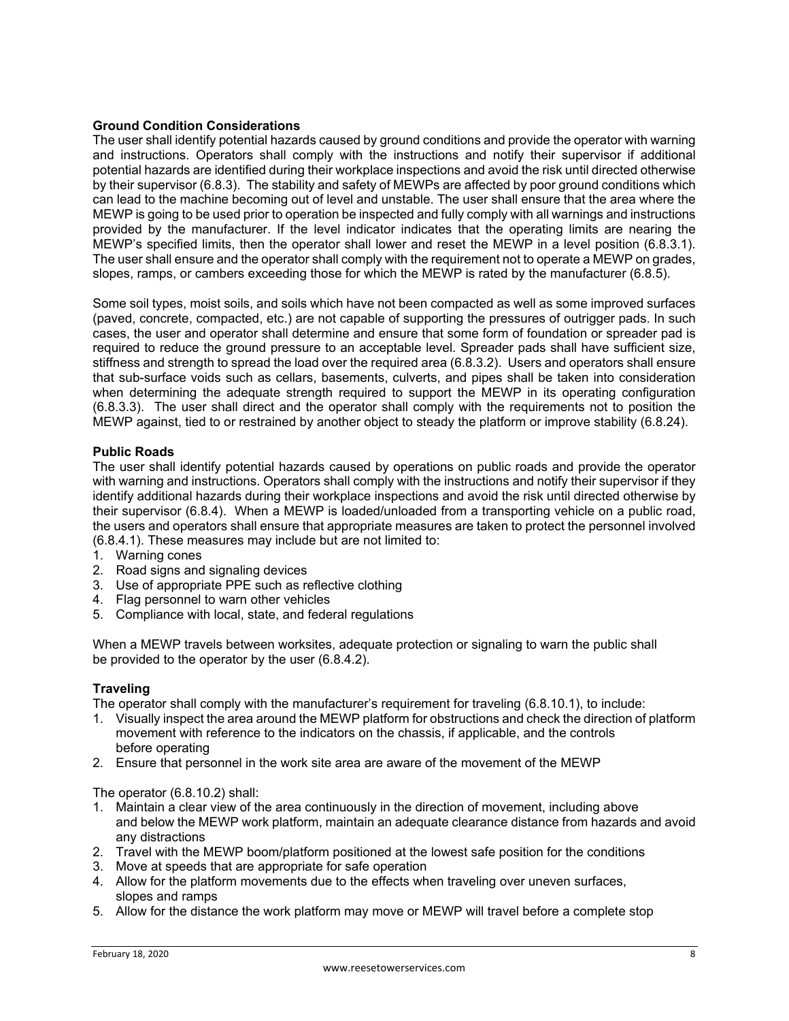# **Ground Condition Considerations**

The user shall identify potential hazards caused by ground conditions and provide the operator with warning and instructions. Operators shall comply with the instructions and notify their supervisor if additional potential hazards are identified during their workplace inspections and avoid the risk until directed otherwise by their supervisor (6.8.3). The stability and safety of MEWPs are affected by poor ground conditions which can lead to the machine becoming out of level and unstable. The user shall ensure that the area where the MEWP is going to be used prior to operation be inspected and fully comply with all warnings and instructions provided by the manufacturer. If the level indicator indicates that the operating limits are nearing the MEWP's specified limits, then the operator shall lower and reset the MEWP in a level position (6.8.3.1). The user shall ensure and the operator shall comply with the requirement not to operate a MEWP on grades, slopes, ramps, or cambers exceeding those for which the MEWP is rated by the manufacturer (6.8.5).

Some soil types, moist soils, and soils which have not been compacted as well as some improved surfaces (paved, concrete, compacted, etc.) are not capable of supporting the pressures of outrigger pads. In such cases, the user and operator shall determine and ensure that some form of foundation or spreader pad is required to reduce the ground pressure to an acceptable level. Spreader pads shall have sufficient size, stiffness and strength to spread the load over the required area (6.8.3.2). Users and operators shall ensure that sub-surface voids such as cellars, basements, culverts, and pipes shall be taken into consideration when determining the adequate strength required to support the MEWP in its operating configuration (6.8.3.3). The user shall direct and the operator shall comply with the requirements not to position the MEWP against, tied to or restrained by another object to steady the platform or improve stability (6.8.24).

# **Public Roads**

The user shall identify potential hazards caused by operations on public roads and provide the operator with warning and instructions. Operators shall comply with the instructions and notify their supervisor if they identify additional hazards during their workplace inspections and avoid the risk until directed otherwise by their supervisor (6.8.4). When a MEWP is loaded/unloaded from a transporting vehicle on a public road, the users and operators shall ensure that appropriate measures are taken to protect the personnel involved (6.8.4.1). These measures may include but are not limited to:

- 1. Warning cones
- 2. Road signs and signaling devices
- 3. Use of appropriate PPE such as reflective clothing
- 4. Flag personnel to warn other vehicles
- 5. Compliance with local, state, and federal regulations

When a MEWP travels between worksites, adequate protection or signaling to warn the public shall be provided to the operator by the user (6.8.4.2).

#### **Traveling**

The operator shall comply with the manufacturer's requirement for traveling (6.8.10.1), to include:

- 1. Visually inspect the area around the MEWP platform for obstructions and check the direction of platform movement with reference to the indicators on the chassis, if applicable, and the controls before operating
- 2. Ensure that personnel in the work site area are aware of the movement of the MEWP

The operator (6.8.10.2) shall:

- 1. Maintain a clear view of the area continuously in the direction of movement, including above and below the MEWP work platform, maintain an adequate clearance distance from hazards and avoid any distractions
- 2. Travel with the MEWP boom/platform positioned at the lowest safe position for the conditions
- 3. Move at speeds that are appropriate for safe operation
- 4. Allow for the platform movements due to the effects when traveling over uneven surfaces, slopes and ramps
- 5. Allow for the distance the work platform may move or MEWP will travel before a complete stop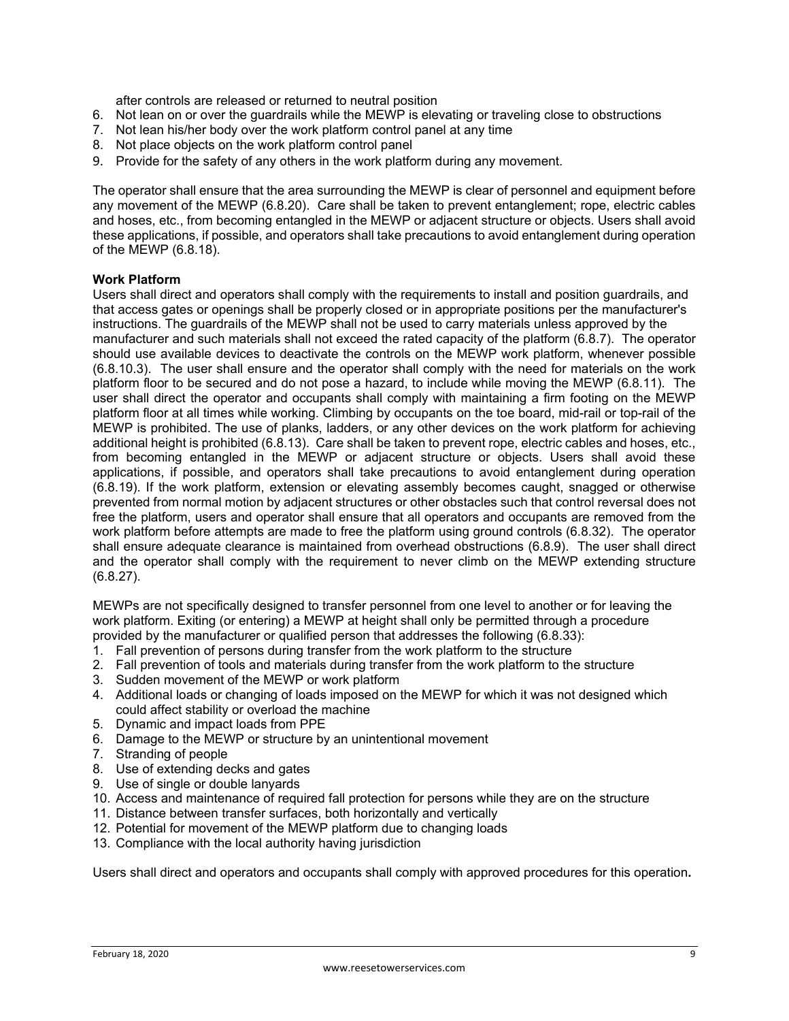after controls are released or returned to neutral position

- 6. Not lean on or over the guardrails while the MEWP is elevating or traveling close to obstructions
- 7. Not lean his/her body over the work platform control panel at any time
- 8. Not place objects on the work platform control panel
- 9. Provide for the safety of any others in the work platform during any movement.

The operator shall ensure that the area surrounding the MEWP is clear of personnel and equipment before any movement of the MEWP (6.8.20). Care shall be taken to prevent entanglement; rope, electric cables and hoses, etc., from becoming entangled in the MEWP or adjacent structure or objects. Users shall avoid these applications, if possible, and operators shall take precautions to avoid entanglement during operation of the MEWP (6.8.18).

#### **Work Platform**

Users shall direct and operators shall comply with the requirements to install and position guardrails, and that access gates or openings shall be properly closed or in appropriate positions per the manufacturer's instructions. The guardrails of the MEWP shall not be used to carry materials unless approved by the manufacturer and such materials shall not exceed the rated capacity of the platform (6.8.7). The operator should use available devices to deactivate the controls on the MEWP work platform, whenever possible (6.8.10.3). The user shall ensure and the operator shall comply with the need for materials on the work platform floor to be secured and do not pose a hazard, to include while moving the MEWP (6.8.11). The user shall direct the operator and occupants shall comply with maintaining a firm footing on the MEWP platform floor at all times while working. Climbing by occupants on the toe board, mid-rail or top-rail of the MEWP is prohibited. The use of planks, ladders, or any other devices on the work platform for achieving additional height is prohibited (6.8.13). Care shall be taken to prevent rope, electric cables and hoses, etc., from becoming entangled in the MEWP or adjacent structure or objects. Users shall avoid these applications, if possible, and operators shall take precautions to avoid entanglement during operation (6.8.19). If the work platform, extension or elevating assembly becomes caught, snagged or otherwise prevented from normal motion by adjacent structures or other obstacles such that control reversal does not free the platform, users and operator shall ensure that all operators and occupants are removed from the work platform before attempts are made to free the platform using ground controls (6.8.32). The operator shall ensure adequate clearance is maintained from overhead obstructions (6.8.9). The user shall direct and the operator shall comply with the requirement to never climb on the MEWP extending structure (6.8.27).

MEWPs are not specifically designed to transfer personnel from one level to another or for leaving the work platform. Exiting (or entering) a MEWP at height shall only be permitted through a procedure provided by the manufacturer or qualified person that addresses the following (6.8.33):

- 1. Fall prevention of persons during transfer from the work platform to the structure
- 2. Fall prevention of tools and materials during transfer from the work platform to the structure
- 3. Sudden movement of the MEWP or work platform
- 4. Additional loads or changing of loads imposed on the MEWP for which it was not designed which could affect stability or overload the machine
- 5. Dynamic and impact loads from PPE
- 6. Damage to the MEWP or structure by an unintentional movement
- 7. Stranding of people
- 8. Use of extending decks and gates
- 9. Use of single or double lanyards
- 10. Access and maintenance of required fall protection for persons while they are on the structure
- 11. Distance between transfer surfaces, both horizontally and vertically
- 12. Potential for movement of the MEWP platform due to changing loads
- 13. Compliance with the local authority having jurisdiction

Users shall direct and operators and occupants shall comply with approved procedures for this operation**.**